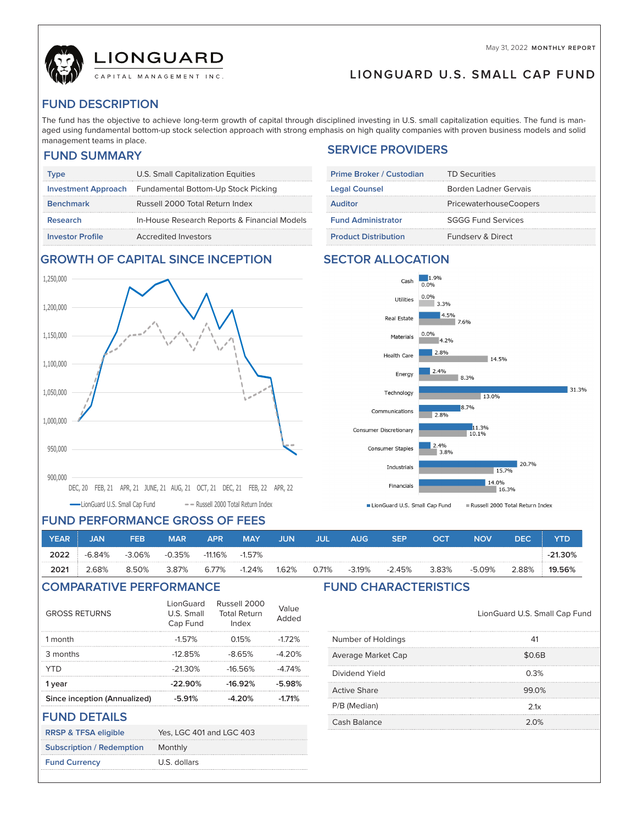May 31, 2022 **MONTHLY REPORT**



**LIONGUARD U.S. SMALL CAP FUND**

# **FUND DESCRIPTION**

 $\overline{\phantom{a}}$ 

 $\overline{\phantom{a}}$ 

 $\overline{\phantom{a}}$ 

aged using fundamental bott<br>management teams in place. The fund has the objective to achieve long-term growth of capital through disciplined investing in U.S. small capitalization equities. The fund is managed using fundamental bottom-up stock selection approach with strong emphasis on high quality companies with proven business models and solid

## **FUND SUMMARY**

| Type                       | U.S. Small Capitalization Equities           |
|----------------------------|----------------------------------------------|
| <b>Investment Approach</b> | Fundamental Bottom-Up Stock Picking          |
| <b>Benchmark</b>           | Russell 2000 Total Return Index              |
| <b>Research</b>            | In-House Research Reports & Financial Models |
| <b>Investor Profile</b>    | <b>Accredited Investors</b>                  |

# **SERVICE PROVIDERS**

| Prime Broker / Custodian    | <b>TD Securities</b>          |
|-----------------------------|-------------------------------|
| <b>Legal Counsel</b>        | Borden Ladner Gervais         |
| <b>Auditor</b>              | <b>PricewaterhouseCoopers</b> |
| <b>Fund Administrator</b>   | <b>SGGG Fund Services</b>     |
| <b>Product Distribution</b> | <b>Fundsery &amp; Direct</b>  |



### **GROWTH OF CAPITAL SINCE INCEPTION SECTOR ALLOCATION**



## **FUND PERFORMANCE GROSS OF FEES**

| <b>YEAR</b> | <b>JAN</b> | FEB      | <b>MAR</b> | <b>APR</b> | <b>MAY</b> | JUN   | лπ    | <b>AUG</b> | <b>SEP</b> | ост   | <b>NOV</b> | <b>DEC</b> | YTD       |
|-------------|------------|----------|------------|------------|------------|-------|-------|------------|------------|-------|------------|------------|-----------|
| 2022        | $-6.84%$   | $-3.06%$ | $-0.35%$   | $-11.16\%$ | $-1.57\%$  |       |       |            |            |       |            |            | $-21.30%$ |
| 2021        | 2.68%      | 8.50%    | 3.87%      | 6.77%      | $-1.24%$   | 1.62% | 0.71% | $-3.19%$   | $-2.45%$   | 3.83% | $-5.09%$   | 2.88%      | 19.56%    |

## **COMPARATIVE PERFORMANCE FUND CHARACTERISTICS**

| <b>GROSS RETURNS</b>             | LionGuard<br>U.S. Small<br>Cap Fund | Russell 2000<br><b>Total Return</b><br>Index | Value<br>Added |
|----------------------------------|-------------------------------------|----------------------------------------------|----------------|
| 1 month                          | $-1.57%$                            | 0.15%                                        | $-172%$        |
| 3 months                         | $-12.85%$                           | $-8.65%$                                     | $-4.20%$       |
| <b>YTD</b>                       | $-21.30%$                           | $-16.56%$                                    | $-4.74%$       |
| 1 year                           | $-22.90%$                           | $-16.92%$                                    | $-5.98%$       |
| Since inception (Annualized)     | $-5.91%$                            | $-4.20%$                                     | $-1.71%$       |
| <b>FUND DETAILS</b>              |                                     |                                              |                |
| <b>RRSP &amp; TFSA eligible</b>  | Yes, LGC 401 and LGC 403            |                                              |                |
| <b>Subscription / Redemption</b> | Monthly                             |                                              |                |
| <b>Fund Currency</b>             | U.S. dollars                        |                                              |                |

LionGuard U.S. Small Cap Fund

| Number of Holdings  | 41     |
|---------------------|--------|
| Average Market Cap  | \$0.6B |
| Dividend Yield      | 0.3%   |
| <b>Active Share</b> | 99.0%  |
| P/B (Median)        | 2.1x   |
| <b>Cash Balance</b> | 2.0%   |